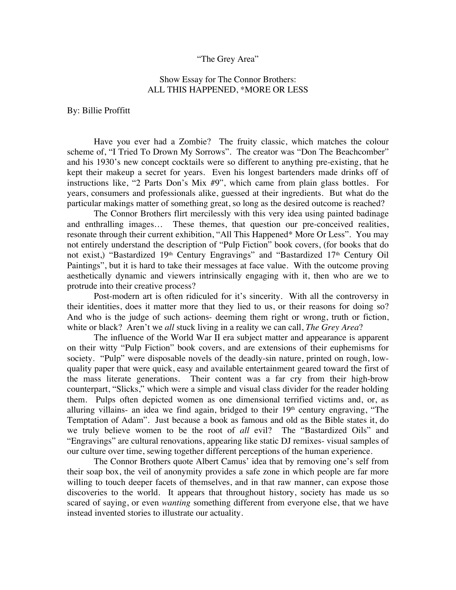## "The Grey Area"

## Show Essay for The Connor Brothers: ALL THIS HAPPENED, \*MORE OR LESS

By: Billie Proffitt

Have you ever had a Zombie? The fruity classic, which matches the colour scheme of, "I Tried To Drown My Sorrows". The creator was "Don The Beachcomber" and his 1930's new concept cocktails were so different to anything pre-existing, that he kept their makeup a secret for years. Even his longest bartenders made drinks off of instructions like, "2 Parts Don's Mix #9", which came from plain glass bottles. For years, consumers and professionals alike, guessed at their ingredients. But what do the particular makings matter of something great, so long as the desired outcome is reached?

The Connor Brothers flirt mercilessly with this very idea using painted badinage and enthralling images… These themes, that question our pre-conceived realities, resonate through their current exhibition, "All This Happened\* More Or Less". You may not entirely understand the description of "Pulp Fiction" book covers, (for books that do not exist,) "Bastardized 19<sup>th</sup> Century Engravings" and "Bastardized 17<sup>th</sup> Century Oil Paintings", but it is hard to take their messages at face value. With the outcome proving aesthetically dynamic and viewers intrinsically engaging with it, then who are we to protrude into their creative process?

Post-modern art is often ridiculed for it's sincerity. With all the controversy in their identities, does it matter more that they lied to us, or their reasons for doing so? And who is the judge of such actions- deeming them right or wrong, truth or fiction, white or black? Aren't we *all* stuck living in a reality we can call, *The Grey Area*?

The influence of the World War II era subject matter and appearance is apparent on their witty "Pulp Fiction" book covers, and are extensions of their euphemisms for society. "Pulp" were disposable novels of the deadly-sin nature, printed on rough, lowquality paper that were quick, easy and available entertainment geared toward the first of the mass literate generations. Their content was a far cry from their high-brow counterpart, "Slicks," which were a simple and visual class divider for the reader holding them. Pulps often depicted women as one dimensional terrified victims and, or, as alluring villains- an idea we find again, bridged to their  $19<sup>th</sup>$  century engraving, "The Temptation of Adam". Just because a book as famous and old as the Bible states it, do we truly believe women to be the root of *all* evil? The "Bastardized Oils" and "Engravings" are cultural renovations, appearing like static DJ remixes- visual samples of our culture over time, sewing together different perceptions of the human experience.

The Connor Brothers quote Albert Camus' idea that by removing one's self from their soap box, the veil of anonymity provides a safe zone in which people are far more willing to touch deeper facets of themselves, and in that raw manner, can expose those discoveries to the world. It appears that throughout history, society has made us so scared of saying, or even *wanting* something different from everyone else, that we have instead invented stories to illustrate our actuality.